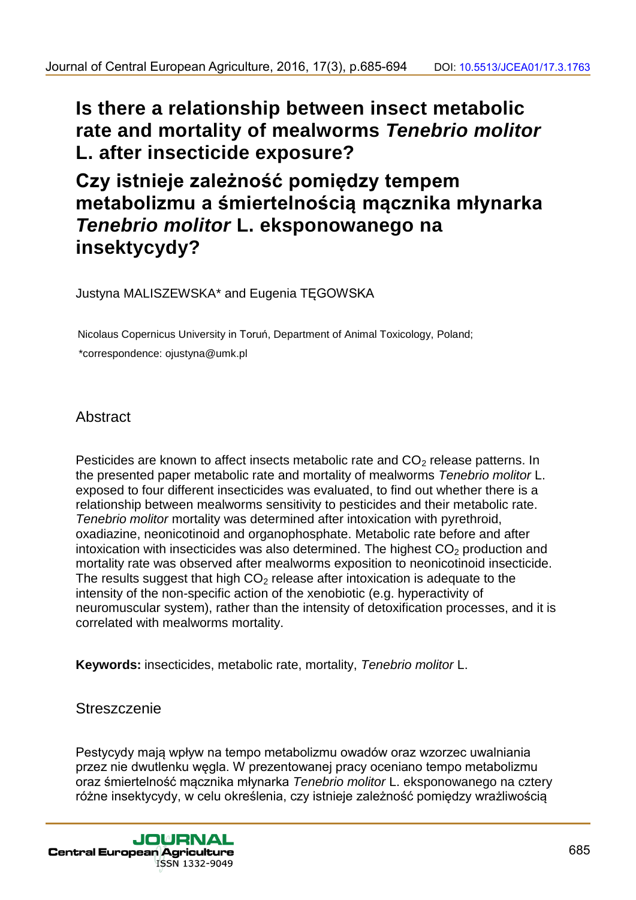**Is there a relationship between insect metabolic rate and mortality of mealworms** *Tenebrio molitor* **L. after insecticide exposure?**

# **Czy istnieje zależność pomiędzy tempem metabolizmu a śmiertelnością mącznika młynarka**  *Tenebrio molitor* **L. eksponowanego na insektycydy?**

Justyna MALISZEWSKA\* and Eugenia TĘGOWSKA

Nicolaus Copernicus University in Toruń, Department of Animal Toxicology, Poland; \*correspondence: ojustyna@umk.pl

## **Abstract**

Pesticides are known to affect insects metabolic rate and  $CO<sub>2</sub>$  release patterns. In the presented paper metabolic rate and mortality of mealworms *Tenebrio molitor* L. exposed to four different insecticides was evaluated, to find out whether there is a relationship between mealworms sensitivity to pesticides and their metabolic rate. *Tenebrio molitor* mortality was determined after intoxication with pyrethroid, oxadiazine, neonicotinoid and organophosphate. Metabolic rate before and after intoxication with insecticides was also determined. The highest  $CO<sub>2</sub>$  production and mortality rate was observed after mealworms exposition to neonicotinoid insecticide. The results suggest that high  $CO<sub>2</sub>$  release after intoxication is adequate to the intensity of the non-specific action of the xenobiotic (e.g. hyperactivity of neuromuscular system), rather than the intensity of detoxification processes, and it is correlated with mealworms mortality.

**Keywords:** insecticides, metabolic rate, mortality, *Tenebrio molitor* L.

## **Streszczenie**

Pestycydy mają wpływ na tempo metabolizmu owadów oraz wzorzec uwalniania przez nie dwutlenku węgla. W prezentowanej pracy oceniano tempo metabolizmu oraz śmiertelność mącznika młynarka *Tenebrio molitor* L. eksponowanego na cztery różne insektycydy, w celu określenia, czy istnieje zależność pomiędzy wrażliwością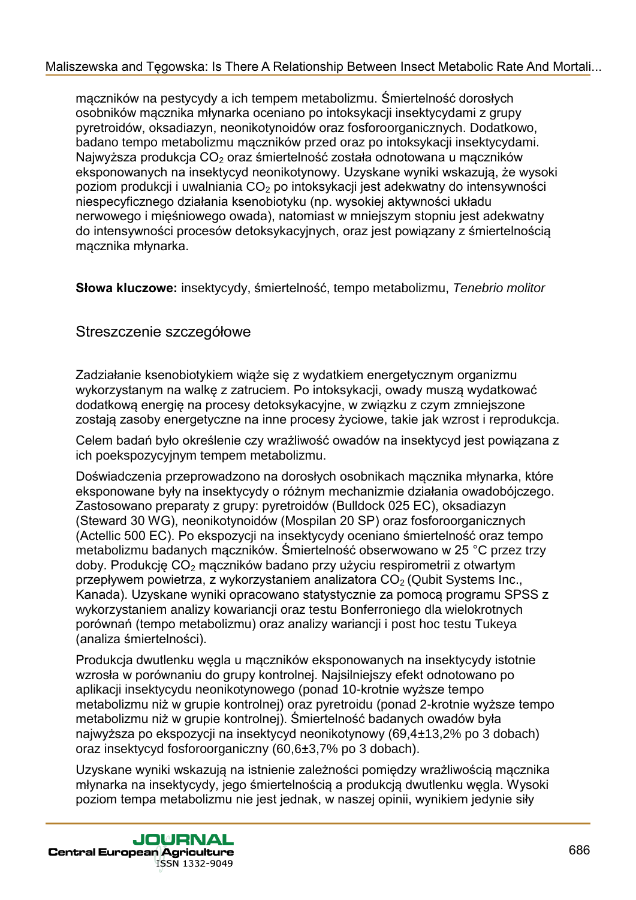mączników na pestycydy a ich tempem metabolizmu. Śmiertelność dorosłych osobników mącznika młynarka oceniano po intoksykacji insektycydami z grupy pyretroidów, oksadiazyn, neonikotynoidów oraz fosforoorganicznych. Dodatkowo, badano tempo metabolizmu mączników przed oraz po intoksykacji insektycydami. Najwyższa produkcja CO<sub>2</sub> oraz śmiertelność została odnotowana u mączników eksponowanych na insektycyd neonikotynowy. Uzyskane wyniki wskazują, że wysoki poziom produkcji i uwalniania  $CO<sub>2</sub>$  po intoksykacji jest adekwatny do intensywności niespecyficznego działania ksenobiotyku (np. wysokiej aktywności układu nerwowego i mięśniowego owada), natomiast w mniejszym stopniu jest adekwatny do intensywności procesów detoksykacyjnych, oraz jest powiązany z śmiertelnością mącznika młynarka.

**Słowa kluczowe:** insektycydy, śmiertelność, tempo metabolizmu, *Tenebrio molitor*

## Streszczenie szczegółowe

Zadziałanie ksenobiotykiem wiąże się z wydatkiem energetycznym organizmu wykorzystanym na walkę z zatruciem. Po intoksykacji, owady muszą wydatkować dodatkową energię na procesy detoksykacyjne, w związku z czym zmniejszone zostają zasoby energetyczne na inne procesy życiowe, takie jak wzrost i reprodukcja.

Celem badań było określenie czy wrażliwość owadów na insektycyd jest powiązana z ich poekspozycyjnym tempem metabolizmu.

Doświadczenia przeprowadzono na dorosłych osobnikach mącznika młynarka, które eksponowane były na insektycydy o różnym mechanizmie działania owadobójczego. Zastosowano preparaty z grupy: pyretroidów (Bulldock 025 EC), oksadiazyn (Steward 30 WG), neonikotynoidów (Mospilan 20 SP) oraz fosforoorganicznych (Actellic 500 EC). Po ekspozycji na insektycydy oceniano śmiertelność oraz tempo metabolizmu badanych mączników. Śmiertelność obserwowano w 25 °C przez trzy doby. Produkcję CO<sub>2</sub> mączników badano przy użyciu respirometrii z otwartym przepływem powietrza, z wykorzystaniem analizatora  $CO<sub>2</sub>$  (Qubit Systems Inc., Kanada). Uzyskane wyniki opracowano statystycznie za pomocą programu SPSS z wykorzystaniem analizy kowariancji oraz testu Bonferroniego dla wielokrotnych porównań (tempo metabolizmu) oraz analizy wariancji i post hoc testu Tukeya (analiza śmiertelności).

Produkcja dwutlenku węgla u mączników eksponowanych na insektycydy istotnie wzrosła w porównaniu do grupy kontrolnej. Najsilniejszy efekt odnotowano po aplikacji insektycydu neonikotynowego (ponad 10-krotnie wyższe tempo metabolizmu niż w grupie kontrolnej) oraz pyretroidu (ponad 2-krotnie wyższe tempo metabolizmu niż w grupie kontrolnej). Śmiertelność badanych owadów była najwyższa po ekspozycji na insektycyd neonikotynowy (69,4±13,2% po 3 dobach) oraz insektycyd fosforoorganiczny (60,6±3,7% po 3 dobach).

Uzyskane wyniki wskazują na istnienie zależności pomiędzy wrażliwością mącznika młynarka na insektycydy, jego śmiertelnością a produkcją dwutlenku węgla. Wysoki poziom tempa metabolizmu nie jest jednak, w naszej opinii, wynikiem jedynie siły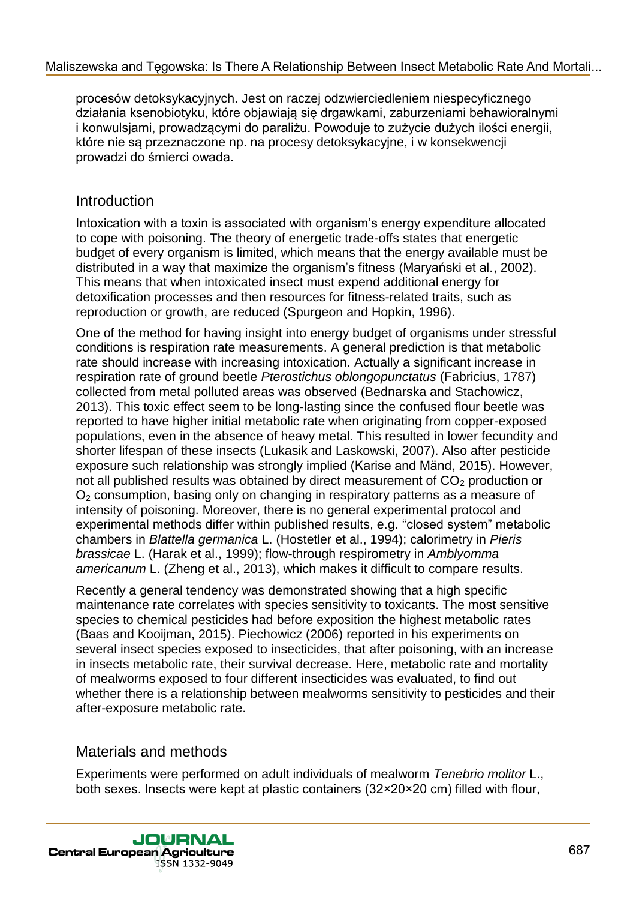procesów detoksykacyjnych. Jest on raczej odzwierciedleniem niespecyficznego działania ksenobiotyku, które objawiają się drgawkami, zaburzeniami behawioralnymi i konwulsjami, prowadzącymi do paraliżu. Powoduje to zużycie dużych ilości energii, które nie są przeznaczone np. na procesy detoksykacyjne, i w konsekwencji prowadzi do śmierci owada.

## Introduction

Intoxication with a toxin is associated with organism's energy expenditure allocated to cope with poisoning. The theory of energetic trade-offs states that energetic budget of every organism is limited, which means that the energy available must be distributed in a way that maximize the organism's fitness (Maryański et al., 2002). This means that when intoxicated insect must expend additional energy for detoxification processes and then resources for fitness-related traits, such as reproduction or growth, are reduced (Spurgeon and Hopkin, 1996).

One of the method for having insight into energy budget of organisms under stressful conditions is respiration rate measurements. A general prediction is that metabolic rate should increase with increasing intoxication. Actually a significant increase in respiration rate of ground beetle *Pterostichus oblongopunctatus* (Fabricius, 1787) collected from metal polluted areas was observed (Bednarska and Stachowicz, 2013). This toxic effect seem to be long-lasting since the confused flour beetle was reported to have higher initial metabolic rate when originating from copper-exposed populations, even in the absence of heavy metal. This resulted in lower fecundity and shorter lifespan of these insects (Lukasik and Laskowski, 2007). Also after pesticide exposure such relationship was strongly implied (Karise and Mänd, 2015). However, not all published results was obtained by direct measurement of  $CO<sub>2</sub>$  production or  $O<sub>2</sub>$  consumption, basing only on changing in respiratory patterns as a measure of intensity of poisoning. Moreover, there is no general experimental protocol and experimental methods differ within published results, e.g. "closed system" metabolic chambers in *Blattella germanica* L. (Hostetler et al., 1994); calorimetry in *Pieris brassicae* L. (Harak et al., 1999); flow-through respirometry in *Amblyomma americanum* L. (Zheng et al., 2013), which makes it difficult to compare results.

Recently a general tendency was demonstrated showing that a high specific maintenance rate correlates with species sensitivity to toxicants. The most sensitive species to chemical pesticides had before exposition the highest metabolic rates (Baas and Kooijman, 2015). Piechowicz (2006) reported in his experiments on several insect species exposed to insecticides, that after poisoning, with an increase in insects metabolic rate, their survival decrease. Here, metabolic rate and mortality of mealworms exposed to four different insecticides was evaluated, to find out whether there is a relationship between mealworms sensitivity to pesticides and their after-exposure metabolic rate.

## Materials and methods

Experiments were performed on adult individuals of mealworm *Tenebrio molitor* L., both sexes. Insects were kept at plastic containers (32×20×20 cm) filled with flour,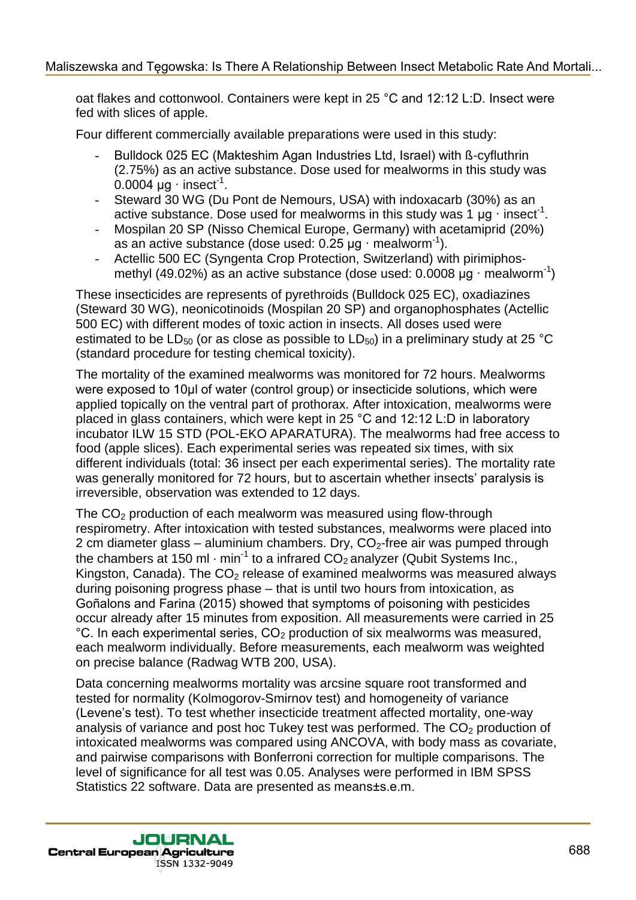oat flakes and cottonwool. Containers were kept in 25 °C and 12:12 L:D. Insect were fed with slices of apple.

Four different commercially available preparations were used in this study:

- Bulldock 025 EC (Makteshim Agan Industries Ltd, Israel) with ß-cyfluthrin (2.75%) as an active substance. Dose used for mealworms in this study was  $0.0004 \mu g \cdot$  insect<sup>1</sup>.
- Steward 30 WG (Du Pont de Nemours, USA) with indoxacarb (30%) as an active substance. Dose used for mealworms in this study was 1  $\mu$ g · insect<sup>-1</sup>.
- Mospilan 20 SP (Nisso Chemical Europe, Germany) with acetamiprid (20%) as an active substance (dose used:  $0.25 \mu g \cdot$  mealworm<sup>-1</sup>).
- Actellic 500 EC (Syngenta Crop Protection, Switzerland) with pirimiphosmethyl (49.02%) as an active substance (dose used:  $0.0008 \mu g \cdot$  mealworm<sup>-1</sup>)

These insecticides are represents of pyrethroids (Bulldock 025 EC), oxadiazines (Steward 30 WG), neonicotinoids (Mospilan 20 SP) and organophosphates (Actellic 500 EC) with different modes of toxic action in insects. All doses used were estimated to be  $LD_{50}$  (or as close as possible to  $LD_{50}$ ) in a preliminary study at 25 °C (standard procedure for testing chemical toxicity).

The mortality of the examined mealworms was monitored for 72 hours. Mealworms were exposed to 10µl of water (control group) or insecticide solutions, which were applied topically on the ventral part of prothorax. After intoxication, mealworms were placed in glass containers, which were kept in 25 °C and 12:12 L:D in laboratory incubator ILW 15 STD (POL-EKO APARATURA). The mealworms had free access to food (apple slices). Each experimental series was repeated six times, with six different individuals (total: 36 insect per each experimental series). The mortality rate was generally monitored for 72 hours, but to ascertain whether insects' paralysis is irreversible, observation was extended to 12 days.

The  $CO<sub>2</sub>$  production of each mealworm was measured using flow-through respirometry. After intoxication with tested substances, mealworms were placed into 2 cm diameter glass – aluminium chambers. Dry,  $CO<sub>2</sub>$ -free air was pumped through the chambers at 150 ml  $\cdot$  min<sup>-1</sup> to a infrared CO<sub>2</sub> analyzer (Qubit Systems Inc., Kingston, Canada). The  $CO<sub>2</sub>$  release of examined mealworms was measured always during poisoning progress phase – that is until two hours from intoxication, as Goñalons and Farina (2015) showed that symptoms of poisoning with pesticides occur already after 15 minutes from exposition. All measurements were carried in 25  $\degree$ C. In each experimental series,  $CO<sub>2</sub>$  production of six mealworms was measured, each mealworm individually. Before measurements, each mealworm was weighted on precise balance (Radwag WTB 200, USA).

Data concerning mealworms mortality was arcsine square root transformed and tested for normality (Kolmogorov-Smirnov test) and homogeneity of variance (Levene's test). To test whether insecticide treatment affected mortality, one-way analysis of variance and post hoc Tukey test was performed. The  $CO<sub>2</sub>$  production of intoxicated mealworms was compared using ANCOVA, with body mass as covariate, and pairwise comparisons with Bonferroni correction for multiple comparisons. The level of significance for all test was 0.05. Analyses were performed in IBM SPSS Statistics 22 software. Data are presented as means±s.e.m.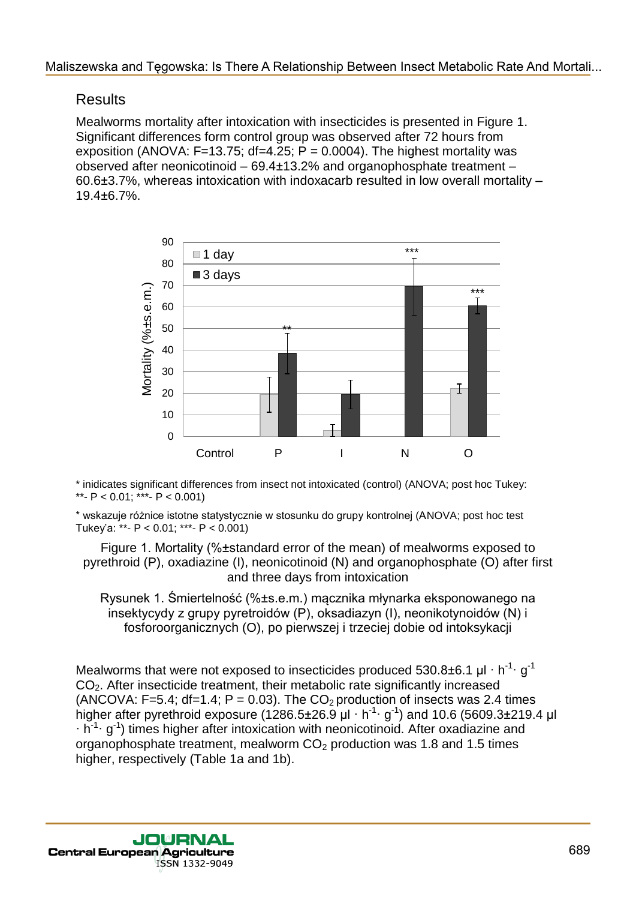## **Results**

Mealworms mortality after intoxication with insecticides is presented in Figure 1. Significant differences form control group was observed after 72 hours from exposition (ANOVA:  $F=13.75$ ; df=4.25; P = 0.0004). The highest mortality was observed after neonicotinoid – 69.4±13.2% and organophosphate treatment – 60.6±3.7%, whereas intoxication with indoxacarb resulted in low overall mortality – 19.4±6.7%.



\* inidicates significant differences from insect not intoxicated (control) (ANOVA; post hoc Tukey: \*\*-  $P < 0.01$ ; \*\*\*-  $P < 0.001$ )

\* wskazuje różnice istotne statystycznie w stosunku do grupy kontrolnej (ANOVA; post hoc test Tukey'a: \*\*-  $P < 0.01$ ; \*\*\*-  $P < 0.001$ )

Figure 1. Mortality (%±standard error of the mean) of mealworms exposed to pyrethroid (P), oxadiazine (I), neonicotinoid (N) and organophosphate (O) after first and three days from intoxication

Rysunek 1. Śmiertelność (%±s.e.m.) mącznika młynarka eksponowanego na insektycydy z grupy pyretroidów (P), oksadiazyn (I), neonikotynoidów (N) i fosforoorganicznych (O), po pierwszej i trzeciej dobie od intoksykacji

Mealworms that were not exposed to insecticides produced 530.8±6.1  $\mu$ l · h<sup>-1</sup>· g<sup>-1</sup> CO2. After insecticide treatment, their metabolic rate significantly increased (ANCOVA: F=5.4; df=1.4;  $P = 0.03$ ). The CO<sub>2</sub> production of insects was 2.4 times higher after pyrethroid exposure (1286.5±26.9  $\mu$ l · h<sup>-1.</sup> g<sup>-1</sup>) and 10.6 (5609.3±219.4  $\mu$ l  $\cdot$  h<sup>-1</sup> g<sup>-1</sup>) times higher after intoxication with neonicotinoid. After oxadiazine and organophosphate treatment, mealworm  $CO<sub>2</sub>$  production was 1.8 and 1.5 times higher, respectively (Table 1a and 1b).

JOURNAL **Central European Agriculture** ISSN 1332-9049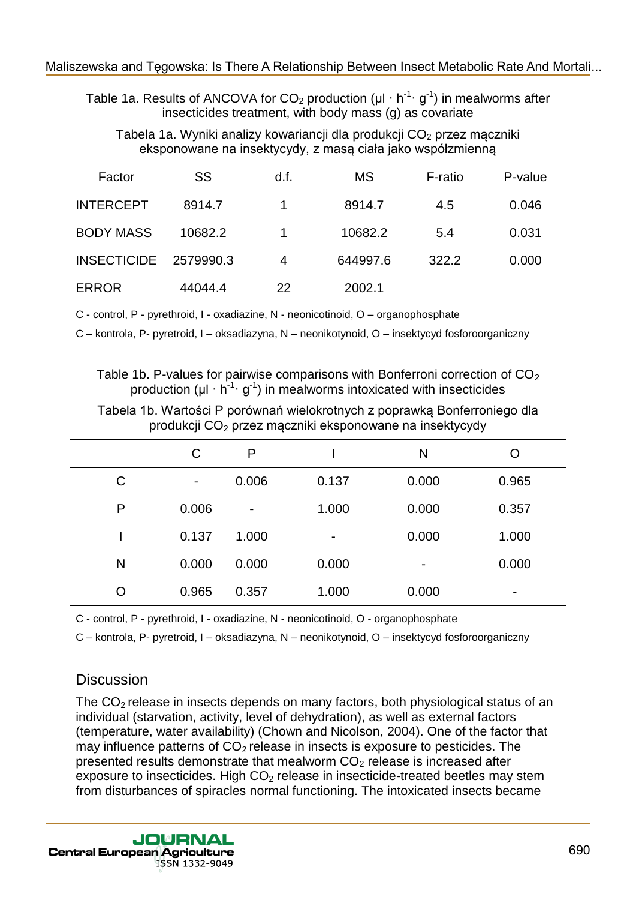Table 1a. Results of ANCOVA for CO<sub>2</sub> production ( $\mu I \cdot h^{-1} \cdot g^{-1}$ ) in mealworms after insecticides treatment, with body mass (g) as covariate

Tabela 1a. Wyniki analizy kowariancji dla produkcji CO<sub>2</sub> przez mączniki eksponowane na insektycydy, z masą ciała jako współzmienną

| Factor             | SS        | d.f. | <b>MS</b> | F-ratio | P-value |
|--------------------|-----------|------|-----------|---------|---------|
| <b>INTERCEPT</b>   | 8914.7    | 1    | 8914.7    | 4.5     | 0.046   |
| <b>BODY MASS</b>   | 10682.2   | 1    | 10682.2   | 5.4     | 0.031   |
| <b>INSECTICIDE</b> | 2579990.3 | 4    | 644997.6  | 322.2   | 0.000   |
| <b>ERROR</b>       | 44044.4   | 22   | 2002.1    |         |         |

C - control, P - pyrethroid, I - oxadiazine, N - neonicotinoid, O – organophosphate

C – kontrola, P- pyretroid, I – oksadiazyna, N – neonikotynoid, O – insektycyd fosforoorganiczny

Table 1b. P-values for pairwise comparisons with Bonferroni correction of  $CO<sub>2</sub>$ production ( $\mu$ I · h<sup>-1</sup> · g<sup>-1</sup>) in mealworms intoxicated with insecticides

Tabela 1b. Wartości P porównań wielokrotnych z poprawką Bonferroniego dla produkcji CO<sup>2</sup> przez mączniki eksponowane na insektycydy

|   | С                        | P     |                | N              | O     |
|---|--------------------------|-------|----------------|----------------|-------|
| C | $\overline{\phantom{a}}$ | 0.006 | 0.137          | 0.000          | 0.965 |
| P | 0.006                    | -     | 1.000          | 0.000          | 0.357 |
|   | 0.137                    | 1.000 | $\blacksquare$ | 0.000          | 1.000 |
| N | 0.000                    | 0.000 | 0.000          | $\blacksquare$ | 0.000 |
| O | 0.965                    | 0.357 | 1.000          | 0.000          | -     |

C - control, P - pyrethroid, I - oxadiazine, N - neonicotinoid, O - organophosphate

C – kontrola, P- pyretroid, I – oksadiazyna, N – neonikotynoid, O – insektycyd fosforoorganiczny

## **Discussion**

The  $CO<sub>2</sub>$  release in insects depends on many factors, both physiological status of an individual (starvation, activity, level of dehydration), as well as external factors (temperature, water availability) (Chown and Nicolson, 2004). One of the factor that may influence patterns of  $CO<sub>2</sub>$  release in insects is exposure to pesticides. The presented results demonstrate that mealworm  $CO<sub>2</sub>$  release is increased after exposure to insecticides. High  $CO<sub>2</sub>$  release in insecticide-treated beetles may stem from disturbances of spiracles normal functioning. The intoxicated insects became

**JOURNAL Central European Agriculture** ISSN 1332-9049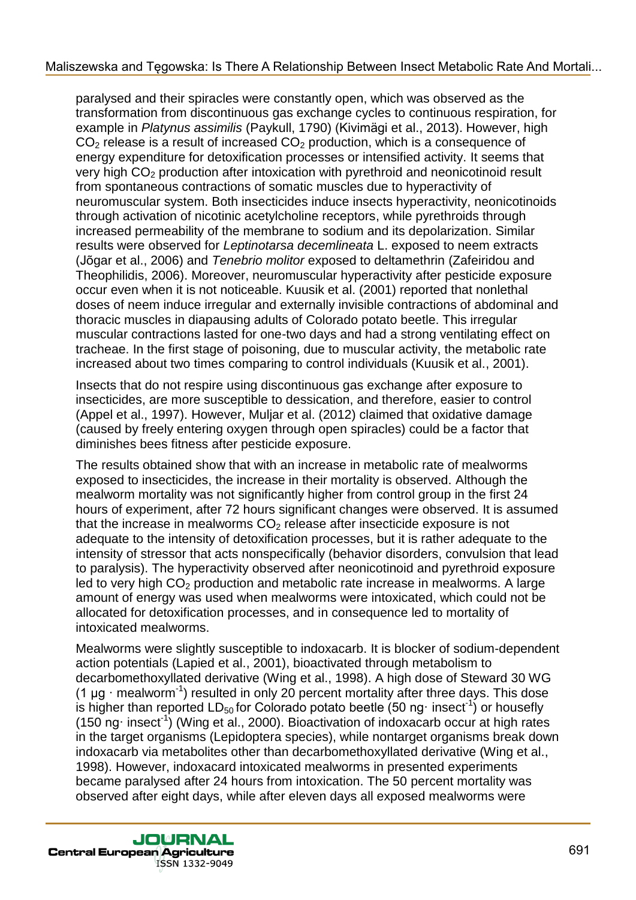paralysed and their spiracles were constantly open, which was observed as the transformation from discontinuous gas exchange cycles to continuous respiration, for example in *Platynus assimilis* (Paykull, 1790) (Kivimägi et al., 2013). However, high  $CO<sub>2</sub>$  release is a result of increased  $CO<sub>2</sub>$  production, which is a consequence of energy expenditure for detoxification processes or intensified activity. It seems that very high CO<sub>2</sub> production after intoxication with pyrethroid and neonicotinoid result from spontaneous contractions of somatic muscles due to hyperactivity of neuromuscular system. Both insecticides induce insects hyperactivity, neonicotinoids through activation of nicotinic acetylcholine receptors, while pyrethroids through increased permeability of the membrane to sodium and its depolarization. Similar results were observed for *Leptinotarsa decemlineata* L. exposed to neem extracts (Jõgar et al., 2006) and *Tenebrio molitor* exposed to deltamethrin (Zafeiridou and Theophilidis, 2006). Moreover, neuromuscular hyperactivity after pesticide exposure occur even when it is not noticeable. Kuusik et al. (2001) reported that nonlethal doses of neem induce irregular and externally invisible contractions of abdominal and thoracic muscles in diapausing adults of Colorado potato beetle. This irregular muscular contractions lasted for one-two days and had a strong ventilating effect on tracheae. In the first stage of poisoning, due to muscular activity, the metabolic rate increased about two times comparing to control individuals (Kuusik et al., 2001).

Insects that do not respire using discontinuous gas exchange after exposure to insecticides, are more susceptible to dessication, and therefore, easier to control (Appel et al., 1997). However, Muljar et al. (2012) claimed that oxidative damage (caused by freely entering oxygen through open spiracles) could be a factor that diminishes bees fitness after pesticide exposure.

The results obtained show that with an increase in metabolic rate of mealworms exposed to insecticides, the increase in their mortality is observed. Although the mealworm mortality was not significantly higher from control group in the first 24 hours of experiment, after 72 hours significant changes were observed. It is assumed that the increase in mealworms  $CO<sub>2</sub>$  release after insecticide exposure is not adequate to the intensity of detoxification processes, but it is rather adequate to the intensity of stressor that acts nonspecifically (behavior disorders, convulsion that lead to paralysis). The hyperactivity observed after neonicotinoid and pyrethroid exposure led to very high  $CO<sub>2</sub>$  production and metabolic rate increase in mealworms. A large amount of energy was used when mealworms were intoxicated, which could not be allocated for detoxification processes, and in consequence led to mortality of intoxicated mealworms.

Mealworms were slightly susceptible to indoxacarb. It is blocker of sodium-dependent action potentials (Lapied et al., 2001), bioactivated through metabolism to decarbomethoxyllated derivative (Wing et al., 1998). A high dose of Steward 30 WG (1  $\mu$ g · mealworm<sup>-1</sup>) resulted in only 20 percent mortality after three days. This dose is higher than reported LD<sub>50</sub> for Colorado potato beetle (50 ng· insect<sup>-1</sup>) or housefly  $(150$  ng insect<sup>1</sup>) (Wing et al., 2000). Bioactivation of indoxacarb occur at high rates in the target organisms (Lepidoptera species), while nontarget organisms break down indoxacarb via metabolites other than decarbomethoxyllated derivative (Wing et al., 1998). However, indoxacard intoxicated mealworms in presented experiments became paralysed after 24 hours from intoxication. The 50 percent mortality was observed after eight days, while after eleven days all exposed mealworms were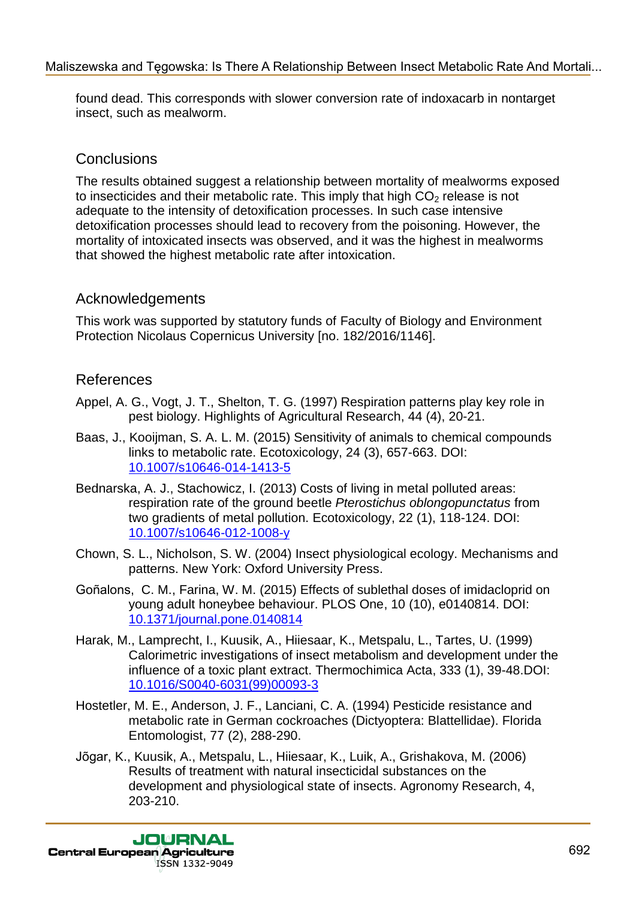found dead. This corresponds with slower conversion rate of indoxacarb in nontarget insect, such as mealworm.

## **Conclusions**

The results obtained suggest a relationship between mortality of mealworms exposed to insecticides and their metabolic rate. This imply that high  $CO<sub>2</sub>$  release is not adequate to the intensity of detoxification processes. In such case intensive detoxification processes should lead to recovery from the poisoning. However, the mortality of intoxicated insects was observed, and it was the highest in mealworms that showed the highest metabolic rate after intoxication.

## Acknowledgements

This work was supported by statutory funds of Faculty of Biology and Environment Protection Nicolaus Copernicus University [no. 182/2016/1146].

## References

- Appel, A. G., Vogt, J. T., Shelton, T. G. (1997) Respiration patterns play key role in pest biology. Highlights of Agricultural Research, 44 (4), 20-21.
- Baas, J., Kooijman, S. A. L. M. (2015) Sensitivity of animals to chemical compounds links to metabolic rate. Ecotoxicology, 24 (3), 657-663. DOI: 10.1007/s10646-014-1413-5
- Bednarska, A. J., Stachowicz, I. (2013) Costs of living in metal polluted areas: respiration rate of the ground beetle *Pterostichus oblongopunctatus* from two gradients of metal pollution. Ecotoxicology, 22 (1), 118-124. DOI: 10.1007/s10646-012-1008-y
- Chown, S. L., Nicholson, S. W. (2004) Insect physiological ecology. Mechanisms and patterns. New York: Oxford University Press.
- Goñalons, C. M., Farina, W. M. (2015) Effects of sublethal doses of imidacloprid on young adult honeybee behaviour. PLOS One, 10 (10), e0140814. DOI: 10.1371/journal.pone.0140814
- Harak, M., Lamprecht, I., Kuusik, A., Hiiesaar, K., Metspalu, L., Tartes, U. (1999) Calorimetric investigations of insect metabolism and development under the influence of a toxic plant extract. Thermochimica Acta, 333 (1), 39-48.DOI: 10.1016/S0040-6031(99)00093-3
- Hostetler, M. E., Anderson, J. F., Lanciani, C. A. (1994) Pesticide resistance and metabolic rate in German cockroaches (Dictyoptera: Blattellidae). Florida Entomologist, 77 (2), 288-290.
- Jõgar, K., Kuusik, A., Metspalu, L., Hiiesaar, K., Luik, A., Grishakova, M. (2006) Results of treatment with natural insecticidal substances on the development and physiological state of insects. Agronomy Research, 4, 203-210.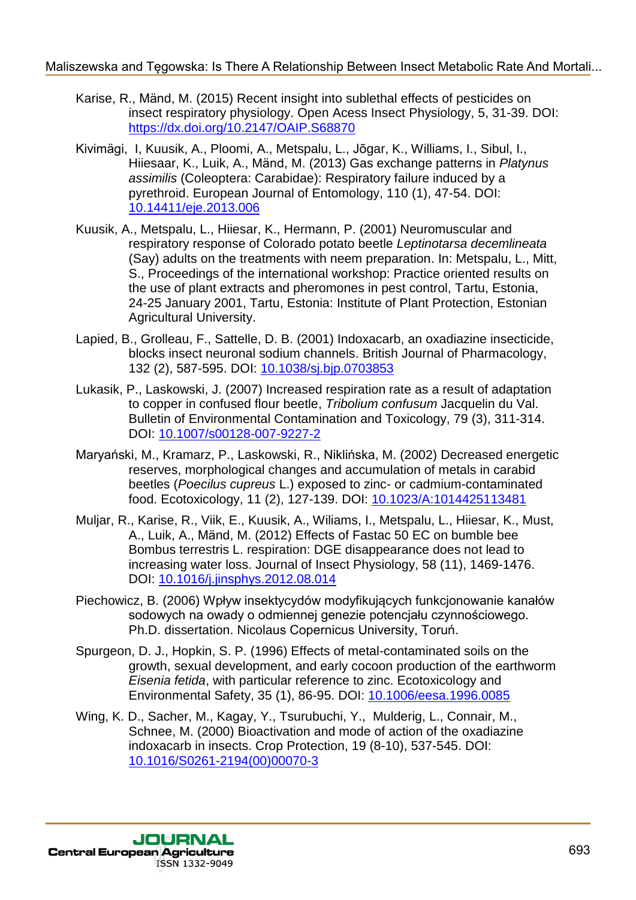- Karise, R., Mänd, M. (2015) Recent insight into sublethal effects of pesticides on insect respiratory physiology. Open Acess Insect Physiology, 5, 31-39. DOI: https://dx.doi.org/10.2147/OAIP.S68870
- Kivimägi, I, Kuusik, A., Ploomi, A., Metspalu, L., Jõgar, K., Williams, I., Sibul, I., Hiiesaar, K., Luik, A., Mänd, M. (2013) Gas exchange patterns in *Platynus assimilis* (Coleoptera: Carabidae): Respiratory failure induced by a pyrethroid. European Journal of Entomology, 110 (1), 47-54. DOI: 10.14411/eje.2013.006
- Kuusik, A., Metspalu, L., Hiiesar, K., Hermann, P. (2001) Neuromuscular and respiratory response of Colorado potato beetle *Leptinotarsa decemlineata* (Say) adults on the treatments with neem preparation. In: Metspalu, L., Mitt, S., Proceedings of the international workshop: Practice oriented results on the use of plant extracts and pheromones in pest control, Tartu, Estonia, 24-25 January 2001, Tartu, Estonia: Institute of Plant Protection, Estonian Agricultural University.
- Lapied, B., Grolleau, F., Sattelle, D. B. (2001) Indoxacarb, an oxadiazine insecticide, blocks insect neuronal sodium channels. British Journal of Pharmacology, 132 (2), 587-595. DOI: 10.1038/sj.bjp.0703853
- Lukasik, P., Laskowski, J. (2007) Increased respiration rate as a result of adaptation to copper in confused flour beetle, *Tribolium confusum* Jacquelin du Val. Bulletin of Environmental Contamination and Toxicology, 79 (3), 311-314. DOI: 10.1007/s00128-007-9227-2
- Maryański, M., Kramarz, P., Laskowski, R., Niklińska, M. (2002) Decreased energetic reserves, morphological changes and accumulation of metals in carabid beetles (*Poecilus cupreus* L.) exposed to zinc- or cadmium-contaminated food. Ecotoxicology, 11 (2), 127-139. DOI: 10.1023/A:1014425113481
- Muljar, R., Karise, R., Viik, E., Kuusik, A., Wiliams, I., Metspalu, L., Hiiesar, K., Must, A., Luik, A., Mänd, M. (2012) Effects of Fastac 50 EC on bumble bee Bombus terrestris L. respiration: DGE disappearance does not lead to increasing water loss. Journal of Insect Physiology, 58 (11), 1469-1476. DOI: 10.1016/j.jinsphys.2012.08.014
- Piechowicz, B. (2006) Wpływ insektycydów modyfikujących funkcjonowanie kanałów sodowych na owady o odmiennej genezie potencjału czynnościowego. Ph.D. dissertation. Nicolaus Copernicus University, Toruń.
- Spurgeon, D. J., Hopkin, S. P. (1996) Effects of metal-contaminated soils on the growth, sexual development, and early cocoon production of the earthworm *Eisenia fetida*, with particular reference to zinc. Ecotoxicology and Environmental Safety, 35 (1), 86-95. DOI: 10.1006/eesa.1996.0085
- Wing, K. D., Sacher, M., Kagay, Y., Tsurubuchi, Y., Mulderig, L., Connair, M., Schnee, M. (2000) Bioactivation and mode of action of the oxadiazine indoxacarb in insects. Crop Protection, 19 (8-10), 537-545. DOI: 10.1016/S0261-2194(00)00070-3